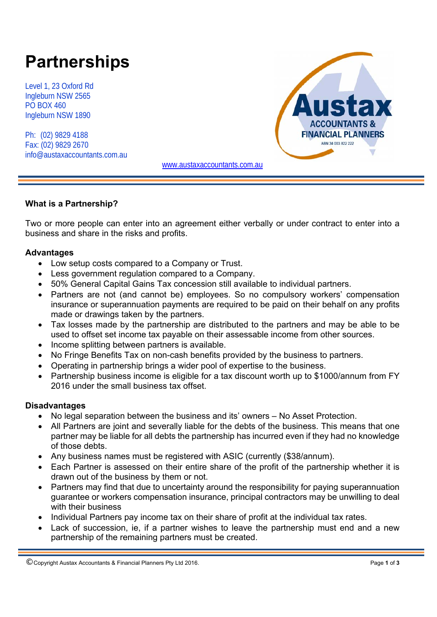# **Partnerships**

Level 1, 23 Oxford Rd Ingleburn NSW 2565 PO BOX 460 Ingleburn NSW 1890

Ph: (02) 9829 4188 Fax: (02) 9829 2670 info@austaxaccountants.com.au



www.austaxaccountants.com.au

#### **What is a Partnership?**

Two or more people can enter into an agreement either verbally or under contract to enter into a business and share in the risks and profits.

#### **Advantages**

- Low setup costs compared to a Company or Trust.
- Less government regulation compared to a Company.
- 50% General Capital Gains Tax concession still available to individual partners.
- Partners are not (and cannot be) employees. So no compulsory workers' compensation insurance or superannuation payments are required to be paid on their behalf on any profits made or drawings taken by the partners.
- Tax losses made by the partnership are distributed to the partners and may be able to be used to offset set income tax payable on their assessable income from other sources.
- Income splitting between partners is available.
- No Fringe Benefits Tax on non-cash benefits provided by the business to partners.
- Operating in partnership brings a wider pool of expertise to the business.
- Partnership business income is eligible for a tax discount worth up to \$1000/annum from FY 2016 under the small business tax offset.

### **Disadvantages**

- No legal separation between the business and its' owners No Asset Protection.
- All Partners are joint and severally liable for the debts of the business. This means that one partner may be liable for all debts the partnership has incurred even if they had no knowledge of those debts.
- Any business names must be registered with ASIC (currently (\$38/annum).
- Each Partner is assessed on their entire share of the profit of the partnership whether it is drawn out of the business by them or not.
- Partners may find that due to uncertainty around the responsibility for paying superannuation guarantee or workers compensation insurance, principal contractors may be unwilling to deal with their business
- Individual Partners pay income tax on their share of profit at the individual tax rates.
- Lack of succession, ie, if a partner wishes to leave the partnership must end and a new partnership of the remaining partners must be created.

<sup>©</sup> Copyright Austax Accountants & Financial Planners Pty Ltd 2016. Page **1** of **<sup>3</sup>**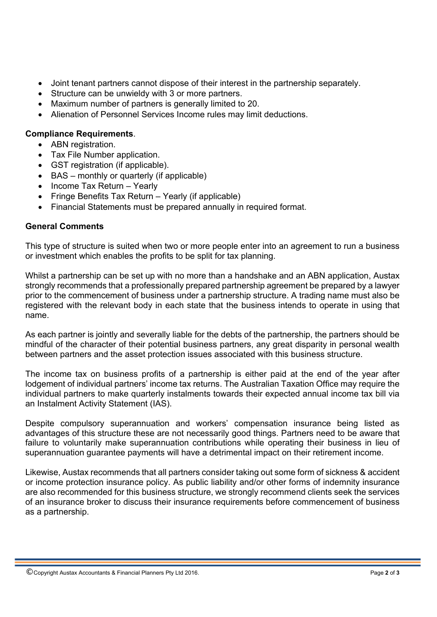- Joint tenant partners cannot dispose of their interest in the partnership separately.
- Structure can be unwieldy with 3 or more partners.
- Maximum number of partners is generally limited to 20.
- Alienation of Personnel Services Income rules may limit deductions.

## **Compliance Requirements**.

- ABN registration.
- Tax File Number application.
- GST registration (if applicable).
- BAS monthly or quarterly (if applicable)
- Income Tax Return Yearly
- Fringe Benefits Tax Return Yearly (if applicable)
- Financial Statements must be prepared annually in required format.

## **General Comments**

This type of structure is suited when two or more people enter into an agreement to run a business or investment which enables the profits to be split for tax planning.

Whilst a partnership can be set up with no more than a handshake and an ABN application, Austax strongly recommends that a professionally prepared partnership agreement be prepared by a lawyer prior to the commencement of business under a partnership structure. A trading name must also be registered with the relevant body in each state that the business intends to operate in using that name.

As each partner is jointly and severally liable for the debts of the partnership, the partners should be mindful of the character of their potential business partners, any great disparity in personal wealth between partners and the asset protection issues associated with this business structure.

The income tax on business profits of a partnership is either paid at the end of the year after lodgement of individual partners' income tax returns. The Australian Taxation Office may require the individual partners to make quarterly instalments towards their expected annual income tax bill via an Instalment Activity Statement (IAS).

Despite compulsory superannuation and workers' compensation insurance being listed as advantages of this structure these are not necessarily good things. Partners need to be aware that failure to voluntarily make superannuation contributions while operating their business in lieu of superannuation guarantee payments will have a detrimental impact on their retirement income.

Likewise, Austax recommends that all partners consider taking out some form of sickness & accident or income protection insurance policy. As public liability and/or other forms of indemnity insurance are also recommended for this business structure, we strongly recommend clients seek the services of an insurance broker to discuss their insurance requirements before commencement of business as a partnership.

<sup>©</sup> Copyright Austax Accountants & Financial Planners Pty Ltd 2016. Page **2** of **<sup>3</sup>**